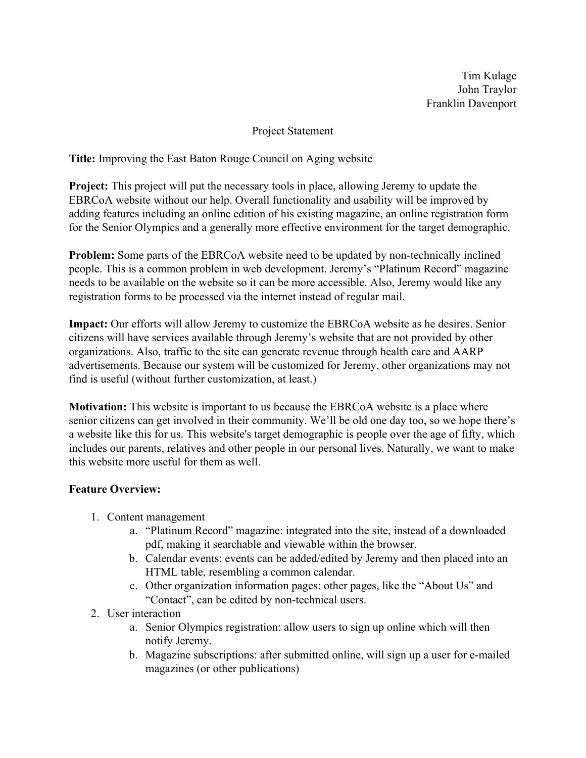Tim Kulage John Traylor Franklin Davenport

## Project Statement

**Title:** Improving the East Baton Rouge Council on Aging website

**Project:** This project will put the necessary tools in place, allowing Jeremy to update the EBRCoA website without our help. Overall functionality and usability will be improved by adding features including an online edition of his existing magazine, an online registration form for the Senior Olympics and a generally more effective environment for the target demographic.

**Problem:** Some parts of the EBRCoA website need to be updated by non-technically inclined people. This is a common problem in web development. Jeremy's "Platinum Record" magazine needs to be available on the website so it can be more accessible. Also, Jeremy would like any registration forms to be processed via the internet instead of regular mail.

**Impact:** Our efforts will allow Jeremy to customize the EBRCoA website as he desires. Senior citizens will have services available through Jeremy's website that are not provided by other organizations. Also, traffic to the site can generate revenue through health care and AARP advertisements. Because our system will be customized for Jeremy, other organizations may not find is useful (without further customization, at least.)

**Motivation:** This website is important to us because the EBRCoA website is a place where senior citizens can get involved in their community. We'll be old one day too, so we hope there's a website like this for us. This website's target demographic is people over the age of fifty, which includes our parents, relatives and other people in our personal lives. Naturally, we want to make this website more useful for them as well.

## **Feature Overview:**

- 1. Content management
	- a. "Platinum Record" magazine: integrated into the site, instead of a downloaded pdf, making it searchable and viewable within the browser.
	- b. Calendar events: events can be added/edited by Jeremy and then placed into an HTML table, resembling a common calendar.
	- c. Other organization information pages: other pages, like the "About Us" and "Contact", can be edited by non-technical users.
- 2. User interaction
	- a. Senior Olympics registration: allow users to sign up online which will then notify Jeremy.
	- b. Magazine subscriptions: after submitted online, will sign up a user for e-mailed magazines (or other publications)